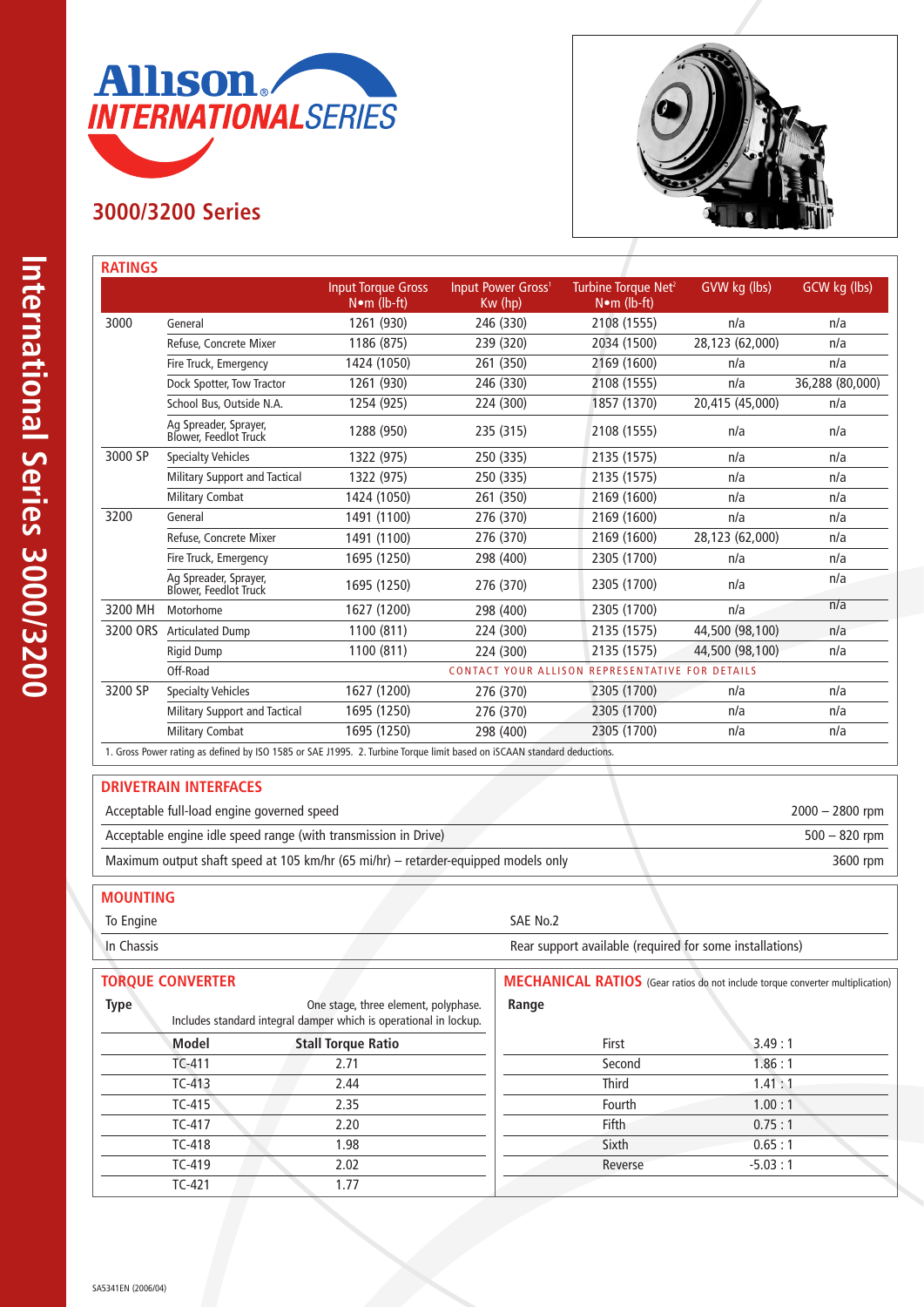

# **3000/3200 Series**



|          |                                                | <b>Input Torque Gross</b><br>$N$ •m (lb-ft) | Input Power Gross <sup>1</sup><br>$Kw$ (hp) | Turbine Torque Net <sup>2</sup><br>$N \cdot m$ (lb-ft) | GVW kg (lbs)    | GCW kg (lbs)     |
|----------|------------------------------------------------|---------------------------------------------|---------------------------------------------|--------------------------------------------------------|-----------------|------------------|
| 3000     | General                                        | 1261 (930)                                  | 246 (330)                                   | 2108 (1555)                                            | n/a             | n/a              |
|          | Refuse, Concrete Mixer                         | 1186 (875)                                  | 239 (320)                                   | 2034 (1500)                                            | 28,123 (62,000) | n/a              |
|          | Fire Truck, Emergency                          | 1424 (1050)                                 | 261 (350)                                   | 2169 (1600)                                            | n/a             | n/a              |
|          | Dock Spotter, Tow Tractor                      | 1261 (930)                                  | 246 (330)                                   | 2108 (1555)                                            | n/a             | 36,288 (80,000)  |
|          | School Bus, Outside N.A.                       | 1254 (925)                                  | 224 (300)                                   | 1857 (1370)                                            | 20,415 (45,000) | n/a              |
|          | Ag Spreader, Sprayer,<br>Blower, Feedlot Truck | 1288 (950)                                  | 235 (315)                                   | 2108 (1555)                                            | n/a             | n/a              |
| 3000 SP  | <b>Specialty Vehicles</b>                      | 1322 (975)                                  | 250 (335)                                   | 2135 (1575)                                            | n/a             | n/a              |
|          | Military Support and Tactical                  | 1322 (975)                                  | 250 (335)                                   | 2135 (1575)                                            | n/a             | n/a              |
|          | <b>Military Combat</b>                         | 1424 (1050)                                 | 261 (350)                                   | 2169 (1600)                                            | n/a             | n/a              |
| 3200     | General                                        | 1491 (1100)                                 | 276 (370)                                   | 2169 (1600)                                            | n/a             | n/a              |
|          | Refuse, Concrete Mixer                         | 1491 (1100)                                 | 276 (370)                                   | 2169 (1600)                                            | 28,123 (62,000) | n/a              |
|          | Fire Truck, Emergency                          | 1695 (1250)                                 | 298 (400)                                   | 2305 (1700)                                            | n/a             | n/a              |
|          | Ag Spreader, Sprayer,<br>Blower, Feedlot Truck | 1695 (1250)                                 | 276 (370)                                   | 2305 (1700)                                            | n/a             | n/a              |
| 3200 MH  | Motorhome                                      | 1627 (1200)                                 | 298 (400)                                   | 2305 (1700)                                            | n/a             | $\overline{n/a}$ |
| 3200 ORS | <b>Articulated Dump</b>                        | 1100 (811)                                  | 224 (300)                                   | 2135 (1575)                                            | 44,500 (98,100) | n/a              |
|          | <b>Rigid Dump</b>                              | 1100 (811)                                  | 224 (300)                                   | 2135 (1575)                                            | 44,500 (98,100) | n/a              |
|          | Off-Road                                       |                                             |                                             | CONTACT YOUR ALLISON REPRESENTATIVE FOR DETAILS        |                 |                  |
| 3200 SP  | <b>Specialty Vehicles</b>                      | 1627 (1200)                                 | 276 (370)                                   | 2305 (1700)                                            | n/a             | n/a              |
|          | <b>Military Support and Tactical</b>           | 1695 (1250)                                 | 276 (370)                                   | 2305 (1700)                                            | n/a             | n/a              |
|          | <b>Military Combat</b>                         | 1695 (1250)                                 | 298 (400)                                   | 2305 (1700)                                            | n/a             | n/a              |

### **DRIVETRAIN INTERFACES**

| Acceptable full-load engine governed speed                                         | $2000 - 2800$ rpm |
|------------------------------------------------------------------------------------|-------------------|
| Acceptable engine idle speed range (with transmission in Drive)                    | $500 - 820$ rpm   |
| Maximum output shaft speed at 105 km/hr (65 mi/hr) - retarder-equipped models only | 3600 rpm          |
|                                                                                    |                   |

### **MOUNTING**

To Engine SAE No.2

In Chassis **In Chassis** Rear support available (required for some installations)

| <b>TORQUE CONVERTER</b>                                                                                                  |                           |              | <b>MECHANICAL RATIOS</b> (Gear ratios do not include torque converter multiplication) |  |  |
|--------------------------------------------------------------------------------------------------------------------------|---------------------------|--------------|---------------------------------------------------------------------------------------|--|--|
| <b>Type</b><br>One stage, three element, polyphase.<br>Includes standard integral damper which is operational in lockup. |                           | Range        |                                                                                       |  |  |
| Model                                                                                                                    | <b>Stall Torque Ratio</b> | First        | 3.49:1                                                                                |  |  |
| TC-411                                                                                                                   | 2.71                      | Second       | 1.86:1                                                                                |  |  |
| $TC-413$                                                                                                                 | 2.44                      | <b>Third</b> | 1.41:1                                                                                |  |  |
| $TC-415$                                                                                                                 | 2.35                      | Fourth       | 1.00:1                                                                                |  |  |
| TC-417                                                                                                                   | 2.20                      | <b>Fifth</b> | 0.75:1                                                                                |  |  |
| <b>TC-418</b>                                                                                                            | 1.98                      | Sixth        | 0.65:1                                                                                |  |  |
| $TC-419$                                                                                                                 | 2.02                      | Reverse      | $-5.03:1$                                                                             |  |  |
| $TC-421$                                                                                                                 | l.77                      |              |                                                                                       |  |  |